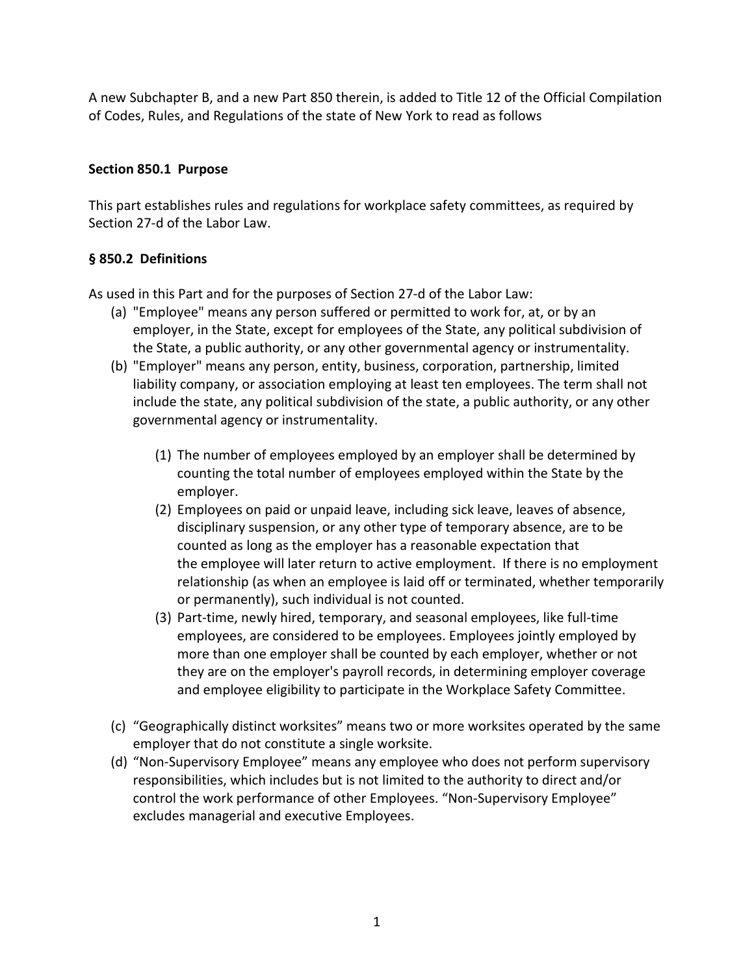A new Subchapter B, and a new Part 850 therein, is added to Title 12 of the Official Compilation of Codes, Rules, and Regulations of the state of New York to read as follows

## **Section 850.1 Purpose**

This part establishes rules and regulations for workplace safety committees, as required by Section 27-d of the Labor Law.

## **§ 850.2 Definitions**

As used in this Part and for the purposes of Section 27-d of the Labor Law:

- (a) "Employee" means any person suffered or permitted to work for, at, or by an employer, in the State, except for employees of the State, any political subdivision of the State, a public authority, or any other governmental agency or instrumentality.
- (b) "Employer" means any person, entity, business, corporation, partnership, limited liability company, or association employing at least ten employees. The term shall not include the state, any political subdivision of the state, a public authority, or any other governmental agency or instrumentality.
	- (1) The number of employees employed by an employer shall be determined by counting the total number of employees employed within the State by the employer.
	- (2) Employees on paid or unpaid leave, including sick leave, leaves of absence, disciplinary suspension, or any other type of temporary absence, are to be counted as long as the employer has a reasonable expectation that the employee will later return to active employment. If there is no employment relationship (as when an employee is laid off or terminated, whether temporarily or permanently), such individual is not counted.
	- (3) Part-time, newly hired, temporary, and seasonal employees, like full-time employees, are considered to be employees. Employees jointly employed by more than one employer shall be counted by each employer, whether or not they are on the employer's payroll records, in determining employer coverage and employee eligibility to participate in the Workplace Safety Committee.
- (c) "Geographically distinct worksites" means two or more worksites operated by the same employer that do not constitute a single worksite.
- (d) "Non-Supervisory Employee" means any employee who does not perform supervisory responsibilities, which includes but is not limited to the authority to direct and/or control the work performance of other Employees. "Non-Supervisory Employee" excludes managerial and executive Employees.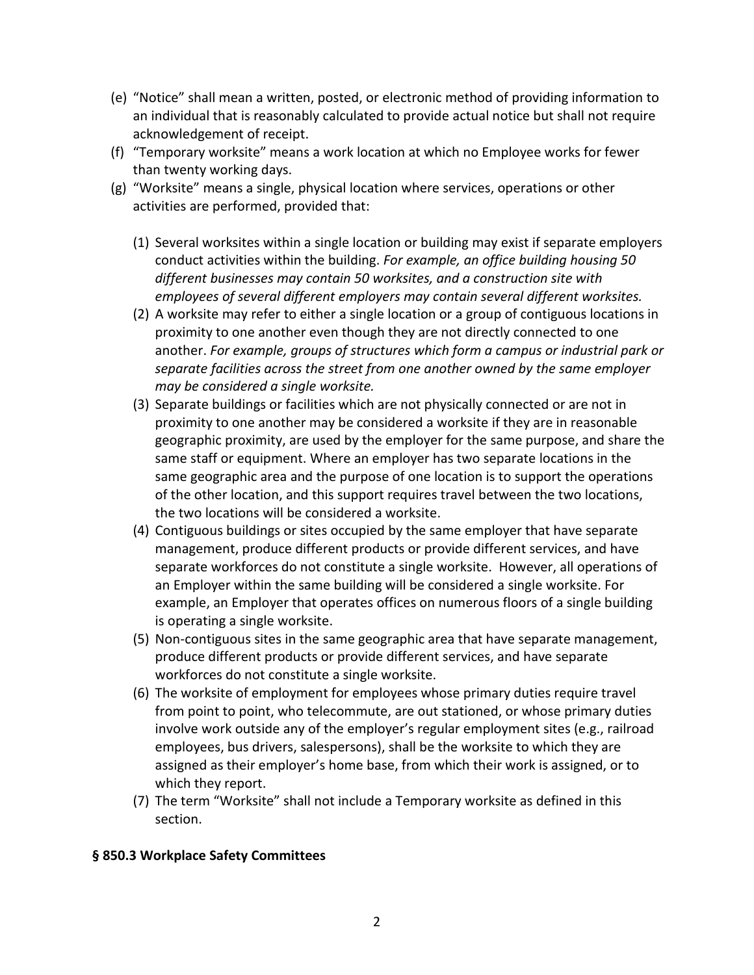- (e) "Notice" shall mean a written, posted, or electronic method of providing information to an individual that is reasonably calculated to provide actual notice but shall not require acknowledgement of receipt.
- (f) "Temporary worksite" means a work location at which no Employee works for fewer than twenty working days.
- (g) "Worksite" means a single, physical location where services, operations or other activities are performed, provided that:
	- (1) Several worksites within a single location or building may exist if separate employers conduct activities within the building. *For example, an office building housing 50 different businesses may contain 50 worksites, and a construction site with employees of several different employers may contain several different worksites.*
	- (2) A worksite may refer to either a single location or a group of contiguous locations in proximity to one another even though they are not directly connected to one another. *For example, groups of structures which form a campus or industrial park or separate facilities across the street from one another owned by the same employer may be considered a single worksite.*
	- (3) Separate buildings or facilities which are not physically connected or are not in proximity to one another may be considered a worksite if they are in reasonable geographic proximity, are used by the employer for the same purpose, and share the same staff or equipment. Where an employer has two separate locations in the same geographic area and the purpose of one location is to support the operations of the other location, and this support requires travel between the two locations, the two locations will be considered a worksite.
	- (4) Contiguous buildings or sites occupied by the same employer that have separate management, produce different products or provide different services, and have separate workforces do not constitute a single worksite. However, all operations of an Employer within the same building will be considered a single worksite. For example, an Employer that operates offices on numerous floors of a single building is operating a single worksite.
	- (5) Non-contiguous sites in the same geographic area that have separate management, produce different products or provide different services, and have separate workforces do not constitute a single worksite.
	- (6) The worksite of employment for employees whose primary duties require travel from point to point, who telecommute, are out stationed, or whose primary duties involve work outside any of the employer's regular employment sites (e.g., railroad employees, bus drivers, salespersons), shall be the worksite to which they are assigned as their employer's home base, from which their work is assigned, or to which they report.
	- (7) The term "Worksite" shall not include a Temporary worksite as defined in this section.

## **§ 850.3 Workplace Safety Committees**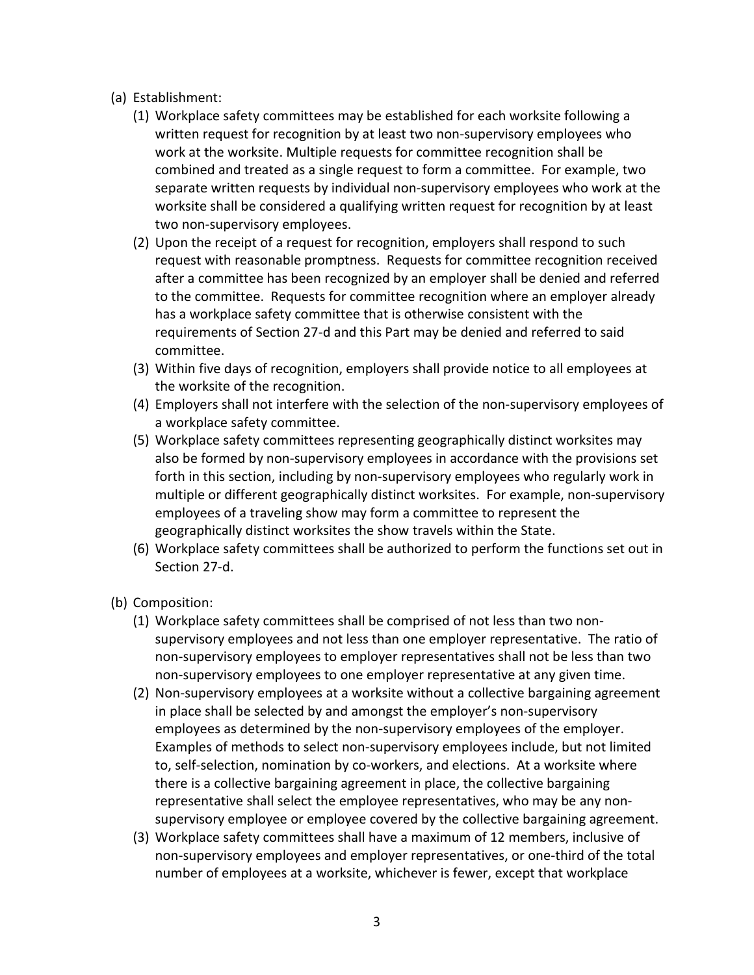- (a) Establishment:
	- (1) Workplace safety committees may be established for each worksite following a written request for recognition by at least two non-supervisory employees who work at the worksite. Multiple requests for committee recognition shall be combined and treated as a single request to form a committee. For example, two separate written requests by individual non-supervisory employees who work at the worksite shall be considered a qualifying written request for recognition by at least two non-supervisory employees.
	- (2) Upon the receipt of a request for recognition, employers shall respond to such request with reasonable promptness. Requests for committee recognition received after a committee has been recognized by an employer shall be denied and referred to the committee. Requests for committee recognition where an employer already has a workplace safety committee that is otherwise consistent with the requirements of Section 27-d and this Part may be denied and referred to said committee.
	- (3) Within five days of recognition, employers shall provide notice to all employees at the worksite of the recognition.
	- (4) Employers shall not interfere with the selection of the non-supervisory employees of a workplace safety committee.
	- (5) Workplace safety committees representing geographically distinct worksites may also be formed by non-supervisory employees in accordance with the provisions set forth in this section, including by non-supervisory employees who regularly work in multiple or different geographically distinct worksites. For example, non-supervisory employees of a traveling show may form a committee to represent the geographically distinct worksites the show travels within the State.
	- (6) Workplace safety committees shall be authorized to perform the functions set out in Section 27-d.
- (b) Composition:
	- (1) Workplace safety committees shall be comprised of not less than two nonsupervisory employees and not less than one employer representative. The ratio of non-supervisory employees to employer representatives shall not be less than two non-supervisory employees to one employer representative at any given time.
	- (2) Non-supervisory employees at a worksite without a collective bargaining agreement in place shall be selected by and amongst the employer's non-supervisory employees as determined by the non-supervisory employees of the employer. Examples of methods to select non-supervisory employees include, but not limited to, self-selection, nomination by co-workers, and elections. At a worksite where there is a collective bargaining agreement in place, the collective bargaining representative shall select the employee representatives, who may be any nonsupervisory employee or employee covered by the collective bargaining agreement.
	- (3) Workplace safety committees shall have a maximum of 12 members, inclusive of non-supervisory employees and employer representatives, or one-third of the total number of employees at a worksite, whichever is fewer, except that workplace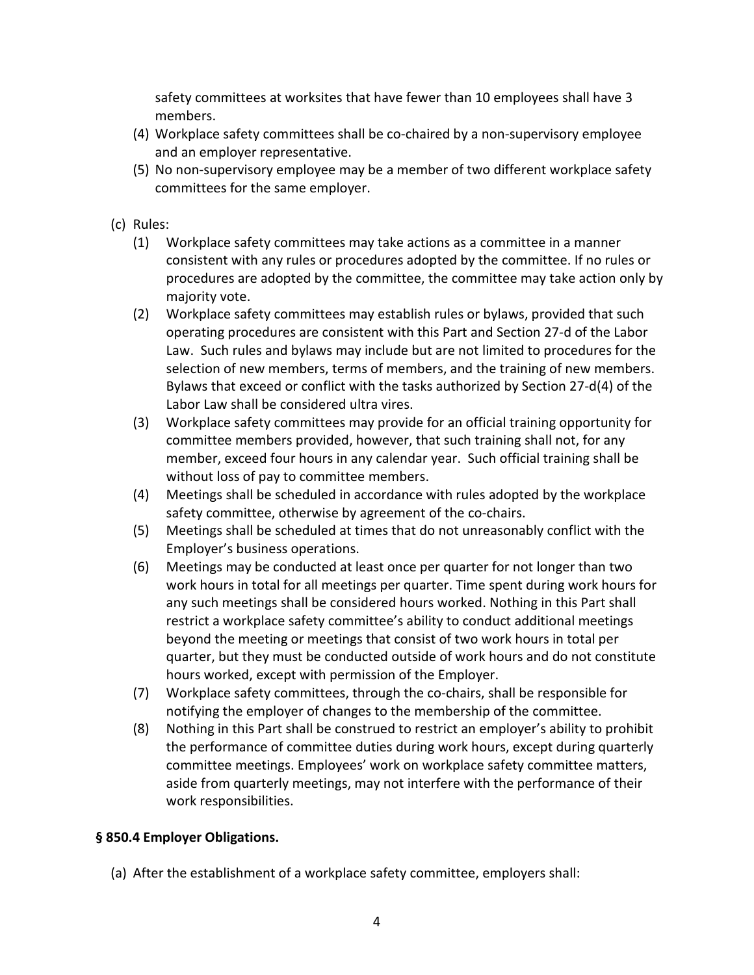safety committees at worksites that have fewer than 10 employees shall have 3 members.

- (4) Workplace safety committees shall be co-chaired by a non-supervisory employee and an employer representative.
- (5) No non-supervisory employee may be a member of two different workplace safety committees for the same employer.
- (c) Rules:
	- (1) Workplace safety committees may take actions as a committee in a manner consistent with any rules or procedures adopted by the committee. If no rules or procedures are adopted by the committee, the committee may take action only by majority vote.
	- (2) Workplace safety committees may establish rules or bylaws, provided that such operating procedures are consistent with this Part and Section 27-d of the Labor Law. Such rules and bylaws may include but are not limited to procedures for the selection of new members, terms of members, and the training of new members. Bylaws that exceed or conflict with the tasks authorized by Section 27-d(4) of the Labor Law shall be considered ultra vires.
	- (3) Workplace safety committees may provide for an official training opportunity for committee members provided, however, that such training shall not, for any member, exceed four hours in any calendar year. Such official training shall be without loss of pay to committee members.
	- (4) Meetings shall be scheduled in accordance with rules adopted by the workplace safety committee, otherwise by agreement of the co-chairs.
	- (5) Meetings shall be scheduled at times that do not unreasonably conflict with the Employer's business operations.
	- (6) Meetings may be conducted at least once per quarter for not longer than two work hours in total for all meetings per quarter. Time spent during work hours for any such meetings shall be considered hours worked. Nothing in this Part shall restrict a workplace safety committee's ability to conduct additional meetings beyond the meeting or meetings that consist of two work hours in total per quarter, but they must be conducted outside of work hours and do not constitute hours worked, except with permission of the Employer.
	- (7) Workplace safety committees, through the co-chairs, shall be responsible for notifying the employer of changes to the membership of the committee.
	- (8) Nothing in this Part shall be construed to restrict an employer's ability to prohibit the performance of committee duties during work hours, except during quarterly committee meetings. Employees' work on workplace safety committee matters, aside from quarterly meetings, may not interfere with the performance of their work responsibilities.

## **§ 850.4 Employer Obligations.**

(a) After the establishment of a workplace safety committee, employers shall: